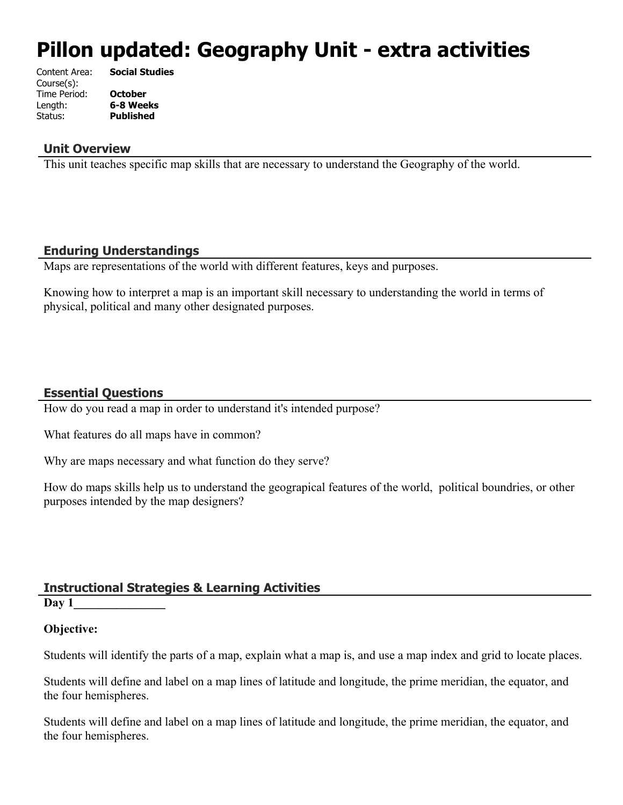# **Pillon updated: Geography Unit - extra activities**

| Content Area: | <b>Social Studies</b> |
|---------------|-----------------------|
| Course(s):    |                       |
| Time Period:  | <b>October</b>        |
| Length:       | 6-8 Weeks             |
| Status:       | <b>Published</b>      |
|               |                       |

#### **Unit Overview**

This unit teaches specific map skills that are necessary to understand the Geography of the world.

#### **Enduring Understandings**

Maps are representations of the world with different features, keys and purposes.

Knowing how to interpret a map is an important skill necessary to understanding the world in terms of physical, political and many other designated purposes.

#### **Essential Questions**

How do you read a map in order to understand it's intended purpose?

What features do all maps have in common?

Why are maps necessary and what function do they serve?

How do maps skills help us to understand the geograpical features of the world, political boundries, or other purposes intended by the map designers?

#### **Instructional Strategies & Learning Activities**

**Day 1\_\_\_\_\_\_\_\_\_\_\_\_\_\_\_**

#### **Objective:**

Students will identify the parts of a map, explain what a map is, and use a map index and grid to locate places.

Students will define and label on a map lines of latitude and longitude, the prime meridian, the equator, and the four hemispheres.

Students will define and label on a map lines of latitude and longitude, the prime meridian, the equator, and the four hemispheres.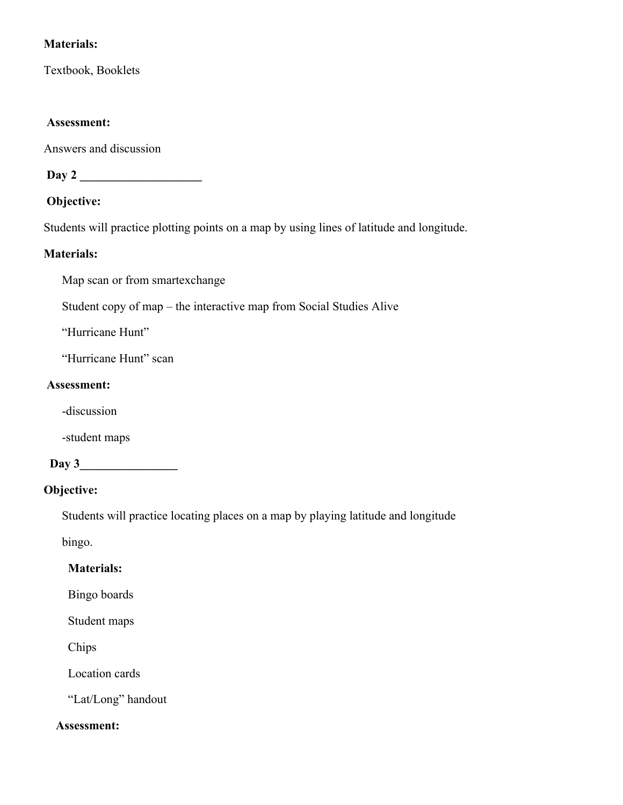# **Materials:**

Textbook, Booklets

#### **Assessment:**

Answers and discussion

 **Day 2 \_\_\_\_\_\_\_\_\_\_\_\_\_\_\_\_\_\_\_\_**

## **Objective:**

Students will practice plotting points on a map by using lines of latitude and longitude.

#### **Materials:**

Map scan or from smartexchange

Student copy of map – the interactive map from Social Studies Alive

"Hurricane Hunt"

"Hurricane Hunt" scan

#### **Assessment:**

-discussion

-student maps

#### **Day 3\_\_\_\_\_\_\_\_\_\_\_\_\_\_\_\_**

# **Objective:**

Students will practice locating places on a map by playing latitude and longitude

bingo.

# **Materials:**

Bingo boards

Student maps

Chips

Location cards

"Lat/Long" handout

#### **Assessment:**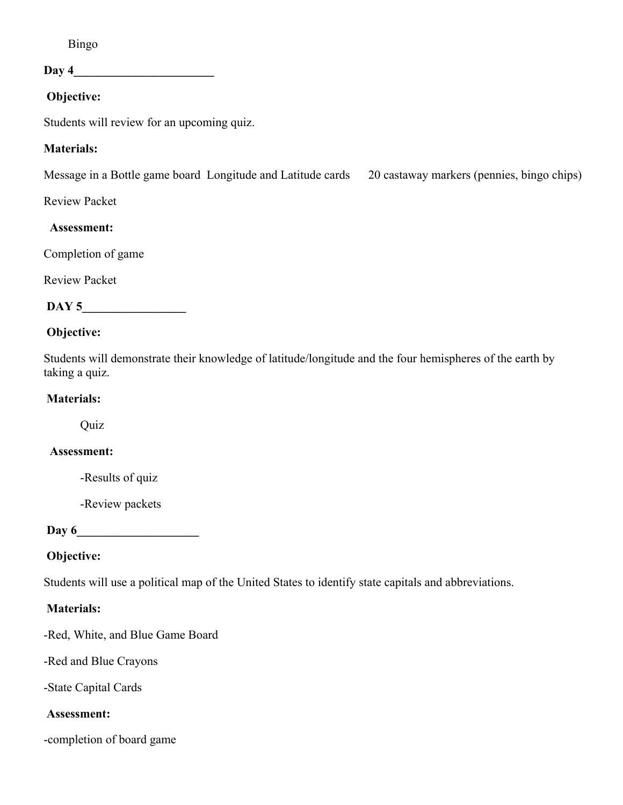Bingo

 $\mathbf{Day}$  4

# **Objective:**

Students will review for an upcoming quiz.

## **Materials:**

Message in a Bottle game board Longitude and Latitude cards 20 castaway markers (pennies, bingo chips)

Review Packet

#### **Assessment:**

Completion of game

Review Packet

| ັ<br>$\mathbf{v}$ . $\mathbf{v}$ |
|----------------------------------|
|----------------------------------|

## **Objective:**

Students will demonstrate their knowledge of latitude/longitude and the four hemispheres of the earth by taking a quiz.

## **Materials:**

**Quiz** 

#### **Assessment:**

-Results of quiz

-Review packets

 **Day 6\_\_\_\_\_\_\_\_\_\_\_\_\_\_\_\_\_\_\_\_**

# **Objective:**

Students will use a political map of the United States to identify state capitals and abbreviations.

# **Materials:**

-Red, White, and Blue Game Board

-Red and Blue Crayons

-State Capital Cards

#### **Assessment:**

-completion of board game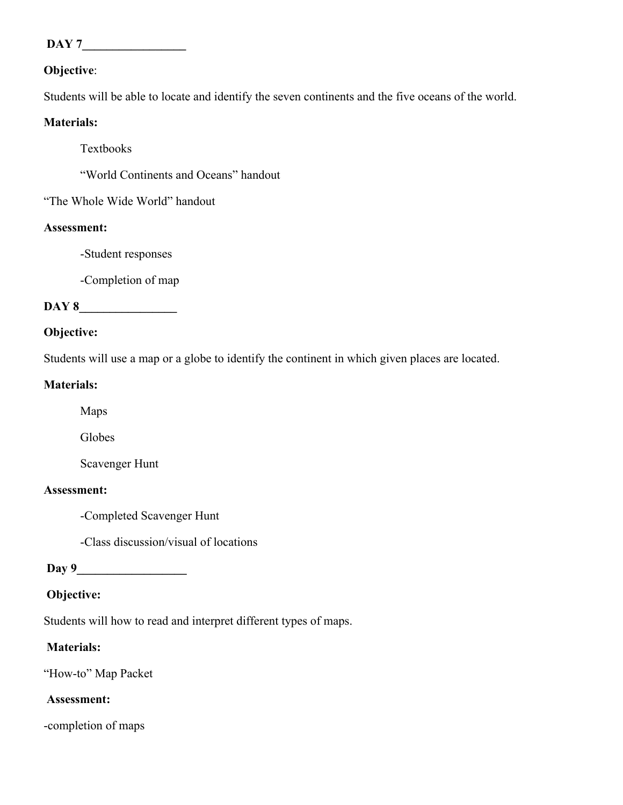# **DAY 7\_\_\_\_\_\_\_\_\_\_\_\_\_\_\_\_\_**

#### **Objective**:

Students will be able to locate and identify the seven continents and the five oceans of the world.

#### **Materials:**

Textbooks

"World Continents and Oceans" handout

"The Whole Wide World" handout

#### **Assessment:**

-Student responses

-Completion of map

#### DAY 8

#### **Objective:**

Students will use a map or a globe to identify the continent in which given places are located.

#### **Materials:**

Maps

Globes

Scavenger Hunt

#### **Assessment:**

-Completed Scavenger Hunt

-Class discussion/visual of locations

 **Day 9\_\_\_\_\_\_\_\_\_\_\_\_\_\_\_\_\_\_**

# **Objective:**

Students will how to read and interpret different types of maps.

# **Materials:**

"How-to" Map Packet

# **Assessment:**

-completion of maps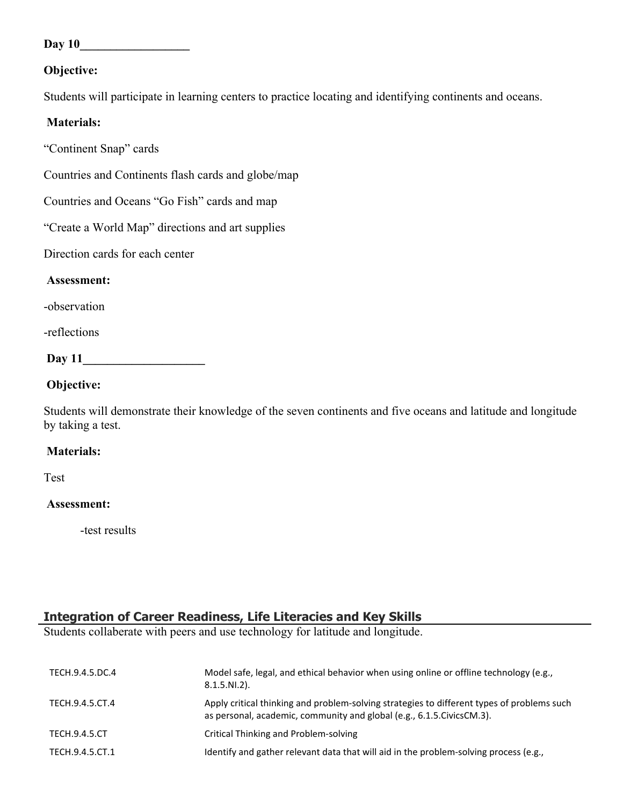**Day 10\_\_\_\_\_\_\_\_\_\_\_\_\_\_\_\_\_\_**

#### **Objective:**

Students will participate in learning centers to practice locating and identifying continents and oceans.

#### **Materials:**

"Continent Snap" cards

Countries and Continents flash cards and globe/map

Countries and Oceans "Go Fish" cards and map

"Create a World Map" directions and art supplies

Direction cards for each center

#### **Assessment:**

-observation

-reflections

**Day 11\_\_\_\_\_\_\_\_\_\_\_\_\_\_\_\_\_\_\_\_**

#### **Objective:**

Students will demonstrate their knowledge of the seven continents and five oceans and latitude and longitude by taking a test.

#### **Materials:**

Test

#### **Assessment:**

-test results

# **Integration of Career Readiness, Life Literacies and Key Skills**

Students collaberate with peers and use technology for latitude and longitude.

| TECH.9.4.5.DC.4      | Model safe, legal, and ethical behavior when using online or offline technology (e.g.,<br>$8.1.5.NI.2$ ).                                                             |
|----------------------|-----------------------------------------------------------------------------------------------------------------------------------------------------------------------|
| TECH.9.4.5.CT.4      | Apply critical thinking and problem-solving strategies to different types of problems such<br>as personal, academic, community and global (e.g., 6.1.5. Civics CM.3). |
| <b>TECH.9.4.5.CT</b> | Critical Thinking and Problem-solving                                                                                                                                 |
| TECH.9.4.5.CT.1      | Identify and gather relevant data that will aid in the problem-solving process (e.g.,                                                                                 |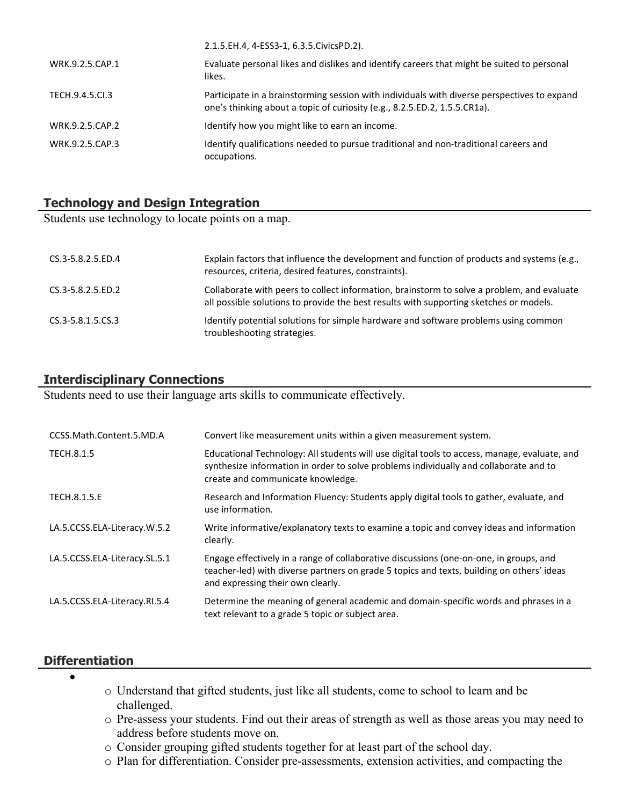|                 | 2.1.5.EH.4, 4-ESS3-1, 6.3.5.CivicsPD.2).                                                                                                                                 |
|-----------------|--------------------------------------------------------------------------------------------------------------------------------------------------------------------------|
| WRK.9.2.5.CAP.1 | Evaluate personal likes and dislikes and identify careers that might be suited to personal<br>likes.                                                                     |
| TECH.9.4.5.CL3  | Participate in a brainstorming session with individuals with diverse perspectives to expand<br>one's thinking about a topic of curiosity (e.g., 8.2.5.ED.2, 1.5.5.CR1a). |
| WRK.9.2.5.CAP.2 | Identify how you might like to earn an income.                                                                                                                           |
| WRK.9.2.5.CAP.3 | Identify qualifications needed to pursue traditional and non-traditional careers and<br>occupations.                                                                     |

# **Technology and Design Integration**

Students use technology to locate points on a map.

| CS.3-5.8.2.5.ED.4 | Explain factors that influence the development and function of products and systems (e.g.,<br>resources, criteria, desired features, constraints).                                   |
|-------------------|--------------------------------------------------------------------------------------------------------------------------------------------------------------------------------------|
| CS.3-5.8.2.5.ED.2 | Collaborate with peers to collect information, brainstorm to solve a problem, and evaluate<br>all possible solutions to provide the best results with supporting sketches or models. |
| CS.3-5.8.1.5.CS.3 | Identify potential solutions for simple hardware and software problems using common<br>troubleshooting strategies.                                                                   |

## **Interdisciplinary Connections**

Students need to use their language arts skills to communicate effectively.

| CCSS.Math.Content.5.MD.A      | Convert like measurement units within a given measurement system.                                                                                                                                                          |
|-------------------------------|----------------------------------------------------------------------------------------------------------------------------------------------------------------------------------------------------------------------------|
| TECH.8.1.5                    | Educational Technology: All students will use digital tools to access, manage, evaluate, and<br>synthesize information in order to solve problems individually and collaborate and to<br>create and communicate knowledge. |
| <b>TECH.8.1.5.E</b>           | Research and Information Fluency: Students apply digital tools to gather, evaluate, and<br>use information.                                                                                                                |
| LA.5.CCSS.ELA-Literacy.W.5.2  | Write informative/explanatory texts to examine a topic and convey ideas and information<br>clearly.                                                                                                                        |
| LA.5.CCSS.ELA-Literacy.SL.5.1 | Engage effectively in a range of collaborative discussions (one-on-one, in groups, and<br>teacher-led) with diverse partners on grade 5 topics and texts, building on others' ideas<br>and expressing their own clearly.   |
| LA.5.CCSS.ELA-Literacy.RI.5.4 | Determine the meaning of general academic and domain-specific words and phrases in a<br>text relevant to a grade 5 topic or subject area.                                                                                  |

#### **Differentiation**

 $\bullet$ 

- o Understand that gifted students, just like all students, come to school to learn and be challenged.
- o Pre-assess your students. Find out their areas of strength as well as those areas you may need to address before students move on.
- o Consider grouping gifted students together for at least part of the school day.
- o Plan for differentiation. Consider pre-assessments, extension activities, and compacting the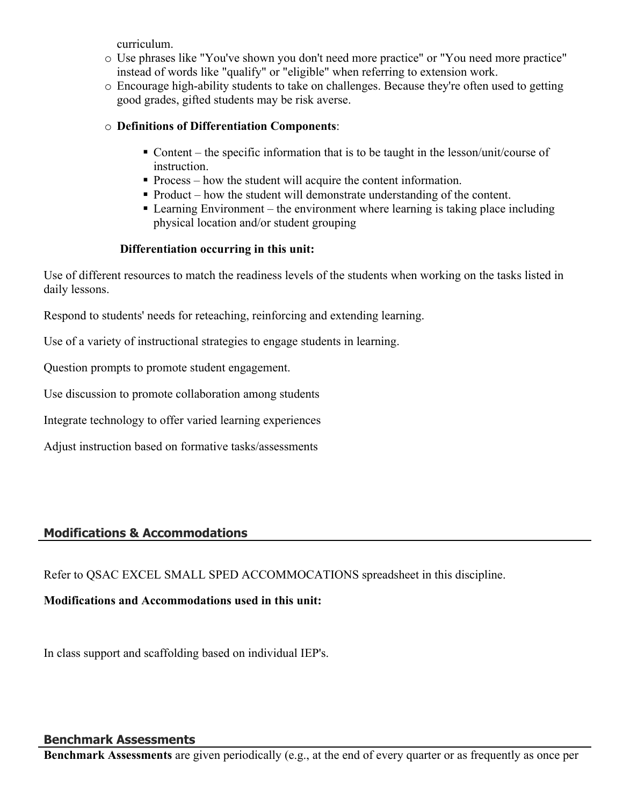curriculum.

- o Use phrases like "You've shown you don't need more practice" or "You need more practice" instead of words like "qualify" or "eligible" when referring to extension work.
- o Encourage high-ability students to take on challenges. Because they're often used to getting good grades, gifted students may be risk averse.

#### o **Definitions of Differentiation Components**:

- Content the specific information that is to be taught in the lesson/unit/course of instruction.
- Process how the student will acquire the content information.
- Product how the student will demonstrate understanding of the content.
- Learning Environment the environment where learning is taking place including physical location and/or student grouping

## **Differentiation occurring in this unit:**

Use of different resources to match the readiness levels of the students when working on the tasks listed in daily lessons.

Respond to students' needs for reteaching, reinforcing and extending learning.

Use of a variety of instructional strategies to engage students in learning.

Question prompts to promote student engagement.

Use discussion to promote collaboration among students

Integrate technology to offer varied learning experiences

Adjust instruction based on formative tasks/assessments

# **Modifications & Accommodations**

Refer to QSAC EXCEL SMALL SPED ACCOMMOCATIONS spreadsheet in this discipline.

# **Modifications and Accommodations used in this unit:**

In class support and scaffolding based on individual IEP's.

#### **Benchmark Assessments**

**Benchmark Assessments** are given periodically (e.g., at the end of every quarter or as frequently as once per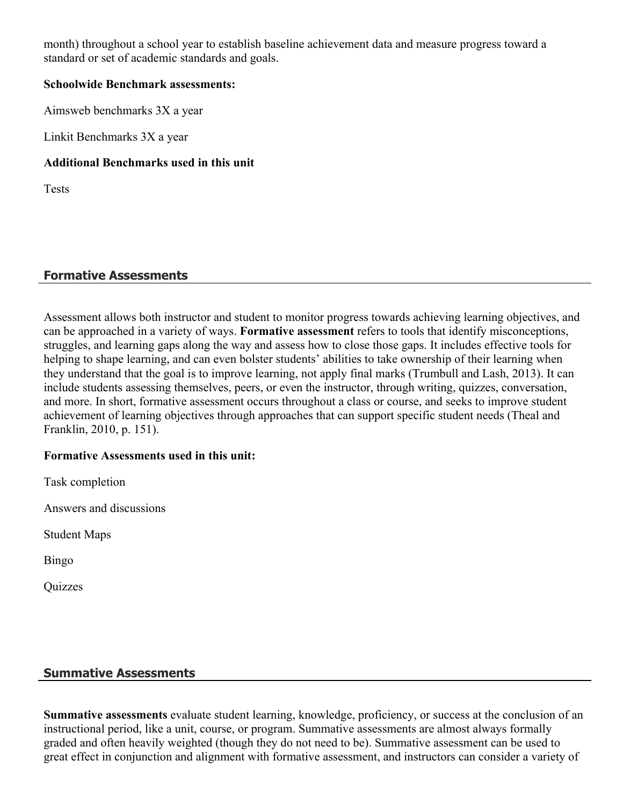month) throughout a school year to establish baseline achievement data and measure progress toward a standard or set of academic standards and goals.

#### **Schoolwide Benchmark assessments:**

Aimsweb benchmarks 3X a year

Linkit Benchmarks 3X a year

## **Additional Benchmarks used in this unit**

**Tests** 

# **Formative Assessments**

Assessment allows both instructor and student to monitor progress towards achieving learning objectives, and can be approached in a variety of ways. **Formative assessment** refers to tools that identify misconceptions, struggles, and learning gaps along the way and assess how to close those gaps. It includes effective tools for helping to shape learning, and can even bolster students' abilities to take ownership of their learning when they understand that the goal is to improve learning, not apply final marks (Trumbull and Lash, 2013). It can include students assessing themselves, peers, or even the instructor, through writing, quizzes, conversation, and more. In short, formative assessment occurs throughout a class or course, and seeks to improve student achievement of learning objectives through approaches that can support specific student needs (Theal and Franklin, 2010, p. 151).

# **Formative Assessments used in this unit:**

Task completion

Answers and discussions

Student Maps

Bingo

**Quizzes** 

# **Summative Assessments**

**Summative assessments** evaluate student learning, knowledge, proficiency, or success at the conclusion of an instructional period, like a unit, course, or program. Summative assessments are almost always formally graded and often heavily weighted (though they do not need to be). Summative assessment can be used to great effect in conjunction and alignment with formative assessment, and instructors can consider a variety of